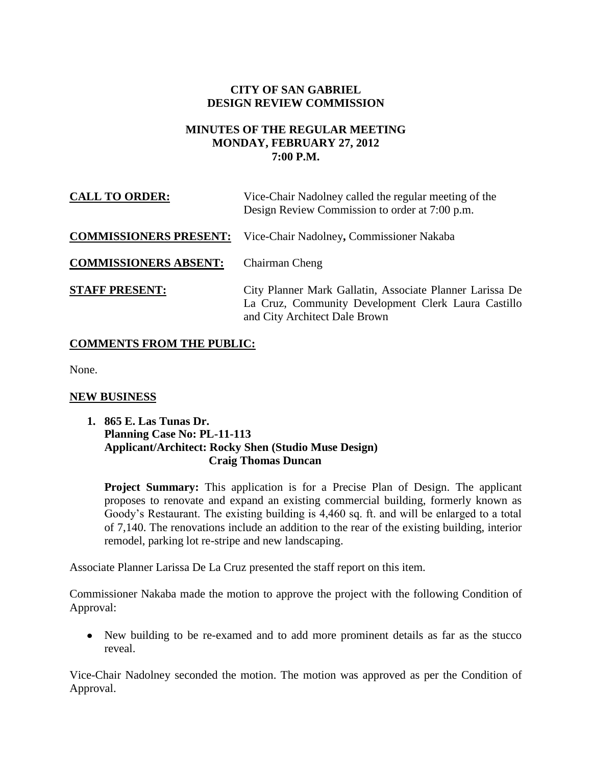# **CITY OF SAN GABRIEL DESIGN REVIEW COMMISSION**

### **MINUTES OF THE REGULAR MEETING MONDAY, FEBRUARY 27, 2012 7:00 P.M.**

| <b>CALL TO ORDER:</b>         | Vice-Chair Nadolney called the regular meeting of the<br>Design Review Commission to order at 7:00 p.m.                                          |
|-------------------------------|--------------------------------------------------------------------------------------------------------------------------------------------------|
| <b>COMMISSIONERS PRESENT:</b> | Vice-Chair Nadolney, Commissioner Nakaba                                                                                                         |
| <b>COMMISSIONERS ABSENT:</b>  | Chairman Cheng                                                                                                                                   |
| <b>STAFF PRESENT:</b>         | City Planner Mark Gallatin, Associate Planner Larissa De<br>La Cruz, Community Development Clerk Laura Castillo<br>and City Architect Dale Brown |

## **COMMENTS FROM THE PUBLIC:**

None.

## **NEW BUSINESS**

### **1. 865 E. Las Tunas Dr. Planning Case No: PL-11-113 Applicant/Architect: Rocky Shen (Studio Muse Design) Craig Thomas Duncan**

**Project Summary:** This application is for a Precise Plan of Design. The applicant proposes to renovate and expand an existing commercial building, formerly known as Goody's Restaurant. The existing building is 4,460 sq. ft. and will be enlarged to a total of 7,140. The renovations include an addition to the rear of the existing building, interior remodel, parking lot re-stripe and new landscaping.

Associate Planner Larissa De La Cruz presented the staff report on this item.

Commissioner Nakaba made the motion to approve the project with the following Condition of Approval:

New building to be re-examed and to add more prominent details as far as the stucco reveal.

Vice-Chair Nadolney seconded the motion. The motion was approved as per the Condition of Approval.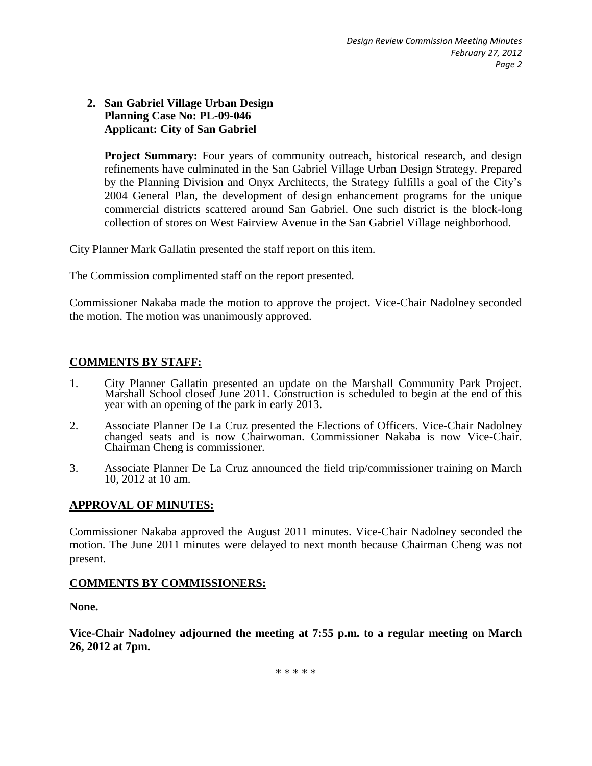### **2. San Gabriel Village Urban Design Planning Case No: PL-09-046 Applicant: City of San Gabriel**

**Project Summary:** Four years of community outreach, historical research, and design refinements have culminated in the San Gabriel Village Urban Design Strategy. Prepared by the Planning Division and Onyx Architects, the Strategy fulfills a goal of the City's 2004 General Plan, the development of design enhancement programs for the unique commercial districts scattered around San Gabriel. One such district is the block-long collection of stores on West Fairview Avenue in the San Gabriel Village neighborhood.

City Planner Mark Gallatin presented the staff report on this item.

The Commission complimented staff on the report presented.

Commissioner Nakaba made the motion to approve the project. Vice-Chair Nadolney seconded the motion. The motion was unanimously approved.

## **COMMENTS BY STAFF:**

- 1. City Planner Gallatin presented an update on the Marshall Community Park Project. Marshall School closed June 2011. Construction is scheduled to begin at the end of this year with an opening of the park in early 2013.
- 2. Associate Planner De La Cruz presented the Elections of Officers. Vice-Chair Nadolney changed seats and is now Chairwoman. Commissioner Nakaba is now Vice-Chair. Chairman Cheng is commissioner.
- 3. Associate Planner De La Cruz announced the field trip/commissioner training on March 10, 2012 at 10 am.

## **APPROVAL OF MINUTES:**

Commissioner Nakaba approved the August 2011 minutes. Vice-Chair Nadolney seconded the motion. The June 2011 minutes were delayed to next month because Chairman Cheng was not present.

#### **COMMENTS BY COMMISSIONERS:**

**None.**

**Vice-Chair Nadolney adjourned the meeting at 7:55 p.m. to a regular meeting on March 26, 2012 at 7pm.**

\* \* \* \* \*